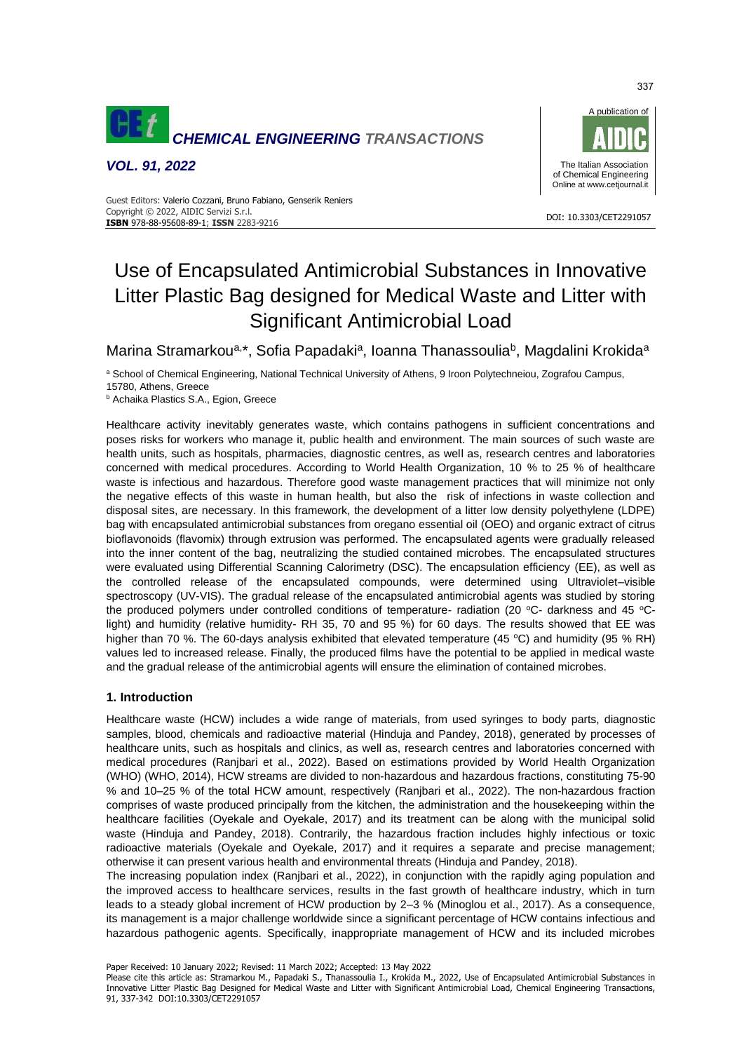

*VOL. 91, 2022*



#### DOI: 10.3303/CET2291057 **ISBN** 978-88-95608-89-1; **ISSN** 2283-9216 Guest Editors: Valerio Cozzani, Bruno Fabiano, Genserik Reniers Copyright © 2022, AIDIC Servizi S.r.l.

# Use of Encapsulated Antimicrobial Substances in Innovative Litter Plastic Bag designed for Medical Waste and Litter with Significant Antimicrobial Load

Marina Stramarkou<sup>a,\*</sup>, Sofia Papadaki<sup>a</sup>, Ioanna Thanassoulia<sup>b</sup>, Magdalini Krokida<sup>a</sup>

a School of Chemical Engineering, National Technical University of Athens, 9 Iroon Polytechneiou, Zografou Campus, 15780, Athens, Greece

**b** Achaika Plastics S.A., Egion, Greece

Healthcare activity inevitably generates waste, which contains pathogens in sufficient concentrations and poses risks for workers who manage it, public health and environment. The main sources of such waste are health units, such as hospitals, pharmacies, diagnostic centres, as well as, research centres and laboratories concerned with medical procedures. According to World Health Organization, 10 % to 25 % of healthcare waste is infectious and hazardous. Therefore good waste management practices that will minimize not only the negative effects of this waste in human health, but also the risk of infections in waste collection and disposal sites, are necessary. In this framework, the development of a litter low density polyethylene (LDPE) bag with encapsulated antimicrobial substances from oregano essential oil (OEO) and organic extract of citrus bioflavonoids (flavomix) through extrusion was performed. The encapsulated agents were gradually released into the inner content of the bag, neutralizing the studied contained microbes. The encapsulated structures were evaluated using Differential Scanning Calorimetry (DSC). The encapsulation efficiency (EE), as well as the controlled release of the encapsulated compounds, were determined using Ultraviolet–visible spectroscopy (UV-VIS). The gradual release of the encapsulated antimicrobial agents was studied by storing the produced polymers under controlled conditions of temperature- radiation (20 °C- darkness and 45 °Clight) and humidity (relative humidity- RH 35, 70 and 95 %) for 60 days. The results showed that EE was higher than 70 %. The 60-days analysis exhibited that elevated temperature (45 °C) and humidity (95 % RH) values led to increased release. Finally, the produced films have the potential to be applied in medical waste and the gradual release of the antimicrobial agents will ensure the elimination of contained microbes.

# **1. Introduction**

Healthcare waste (HCW) includes a wide range of materials, from used syringes to body parts, diagnostic samples, blood, chemicals and radioactive material (Hinduja and Pandey, 2018), generated by processes of healthcare units, such as hospitals and clinics, as well as, research centres and laboratories concerned with medical procedures (Ranjbari et al., 2022). Based on estimations provided by World Health Organization (WHO) (WHO, 2014), HCW streams are divided to non-hazardous and hazardous fractions, constituting 75-90 % and 10–25 % of the total HCW amount, respectively (Ranjbari et al., 2022). The non-hazardous fraction comprises of waste produced principally from the kitchen, the administration and the housekeeping within the healthcare facilities (Oyekale and Oyekale, 2017) and its treatment can be along with the municipal solid waste (Hinduja and Pandey, 2018). Contrarily, the hazardous fraction includes highly infectious or toxic radioactive materials (Oyekale and Oyekale, 2017) and it requires a separate and precise management; otherwise it can present various health and environmental threats (Hinduja and Pandey, 2018).

The increasing population index (Ranjbari et al., 2022), in conjunction with the rapidly aging population and the improved access to healthcare services, results in the fast growth of healthcare industry, which in turn leads to a steady global increment of HCW production by 2–3 % (Minoglou et al., 2017). As a consequence, its management is a major challenge worldwide since a significant percentage of HCW contains infectious and hazardous pathogenic agents. Specifically, inappropriate management of HCW and its included microbes

Paper Received: 10 January 2022; Revised: 11 March 2022; Accepted: 13 May 2022

Please cite this article as: Stramarkou M., Papadaki S., Thanassoulia I., Krokida M., 2022, Use of Encapsulated Antimicrobial Substances in Innovative Litter Plastic Bag Designed for Medical Waste and Litter with Significant Antimicrobial Load, Chemical Engineering Transactions, 91, 337-342 DOI:10.3303/CET2291057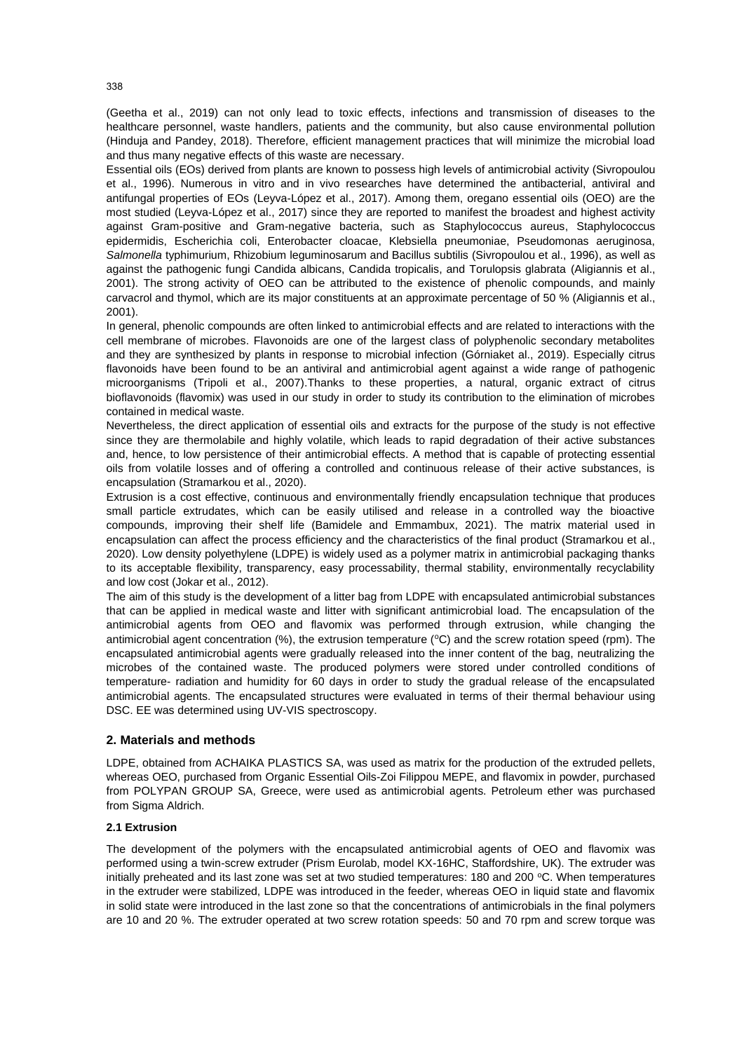(Geetha et al., 2019) can not only lead to toxic effects, infections and transmission of diseases to the healthcare personnel, waste handlers, patients and the community, but also cause environmental pollution (Hinduja and Pandey, 2018). Therefore, efficient management practices that will minimize the microbial load and thus many negative effects of this waste are necessary.

Essential oils (EOs) derived from plants are known to possess high levels of antimicrobial activity (Sivropoulou et al., 1996). Numerous in vitro and in vivo researches have determined the antibacterial, antiviral and antifungal properties of EOs (Leyva-López et al., 2017). Among them, oregano essential oils (OEO) are the most studied (Leyva-López et al., 2017) since they are reported to manifest the broadest and highest activity against Gram-positive and Gram-negative bacteria, such as Staphylococcus aureus, Staphylococcus epidermidis, Escherichia coli, Enterobacter cloacae, Klebsiella pneumoniae, Pseudomonas aeruginosa, *Salmonella* typhimurium, Rhizobium leguminosarum and Bacillus subtilis (Sivropoulou et al., 1996), as well as against the pathogenic fungi Candida albicans, Candida tropicalis, and Torulopsis glabrata (Aligiannis et al., 2001). The strong activity of OEO can be attributed to the existence of phenolic compounds, and mainly carvacrol and thymol, which are its major constituents at an approximate percentage of 50 % (Aligiannis et al., 2001).

In general, phenolic compounds are often linked to antimicrobial effects and are related to interactions with the cell membrane of microbes. Flavonoids are one of the largest class of polyphenolic secondary metabolites and they are synthesized by plants in response to microbial infection (Górniaket al., 2019). Especially citrus flavonoids have been found to be an antiviral and antimicrobial agent against a wide range of pathogenic microorganisms (Tripoli et al., 2007).Thanks to these properties, a natural, organic extract of citrus bioflavonoids (flavomix) was used in our study in order to study its contribution to the elimination of microbes contained in medical waste.

Nevertheless, the direct application of essential oils and extracts for the purpose of the study is not effective since they are thermolabile and highly volatile, which leads to rapid degradation of their active substances and, hence, to low persistence of their antimicrobial effects. A method that is capable of protecting essential oils from volatile losses and of offering a controlled and continuous release of their active substances, is encapsulation (Stramarkou et al., 2020).

Extrusion is a cost effective, continuous and environmentally friendly encapsulation technique that produces small particle extrudates, which can be easily utilised and release in a controlled way the bioactive compounds, improving their shelf life (Bamidele and Emmambux, 2021). The matrix material used in encapsulation can affect the process efficiency and the characteristics of the final product (Stramarkou et al., 2020). Low density polyethylene (LDPE) is widely used as a polymer matrix in antimicrobial packaging thanks to its acceptable flexibility, transparency, easy processability, thermal stability, environmentally recyclability and low cost (Jokar et al., 2012).

The aim of this study is the development of a litter bag from LDPE with encapsulated antimicrobial substances that can be applied in medical waste and litter with significant antimicrobial load. The encapsulation of the antimicrobial agents from OEO and flavomix was performed through extrusion, while changing the antimicrobial agent concentration (%), the extrusion temperature ( $\degree$ C) and the screw rotation speed (rpm). The encapsulated antimicrobial agents were gradually released into the inner content of the bag, neutralizing the microbes of the contained waste. The produced polymers were stored under controlled conditions of temperature- radiation and humidity for 60 days in order to study the gradual release of the encapsulated antimicrobial agents. The encapsulated structures were evaluated in terms of their thermal behaviour using DSC. EE was determined using UV-VIS spectroscopy.

# **2. Materials and methods**

LDPE, obtained from ACHAIKA PLASTICS SA, was used as matrix for the production of the extruded pellets, whereas OEO, purchased from Organic Essential Oils-Zoi Filippou MEPE, and flavomix in powder, purchased from POLYPAN GROUP SA, Greece, were used as antimicrobial agents. Petroleum ether was purchased from Sigma Aldrich.

## **2.1 Extrusion**

The development of the polymers with the encapsulated antimicrobial agents of OEO and flavomix was performed using a twin-screw extruder (Prism Eurolab, model KX-16HC, Staffordshire, UK). The extruder was initially preheated and its last zone was set at two studied temperatures: 180 and 200  $^{\circ}$ C. When temperatures in the extruder were stabilized, LDPE was introduced in the feeder, whereas OEO in liquid state and flavomix in solid state were introduced in the last zone so that the concentrations of antimicrobials in the final polymers are 10 and 20 %. The extruder operated at two screw rotation speeds: 50 and 70 rpm and screw torque was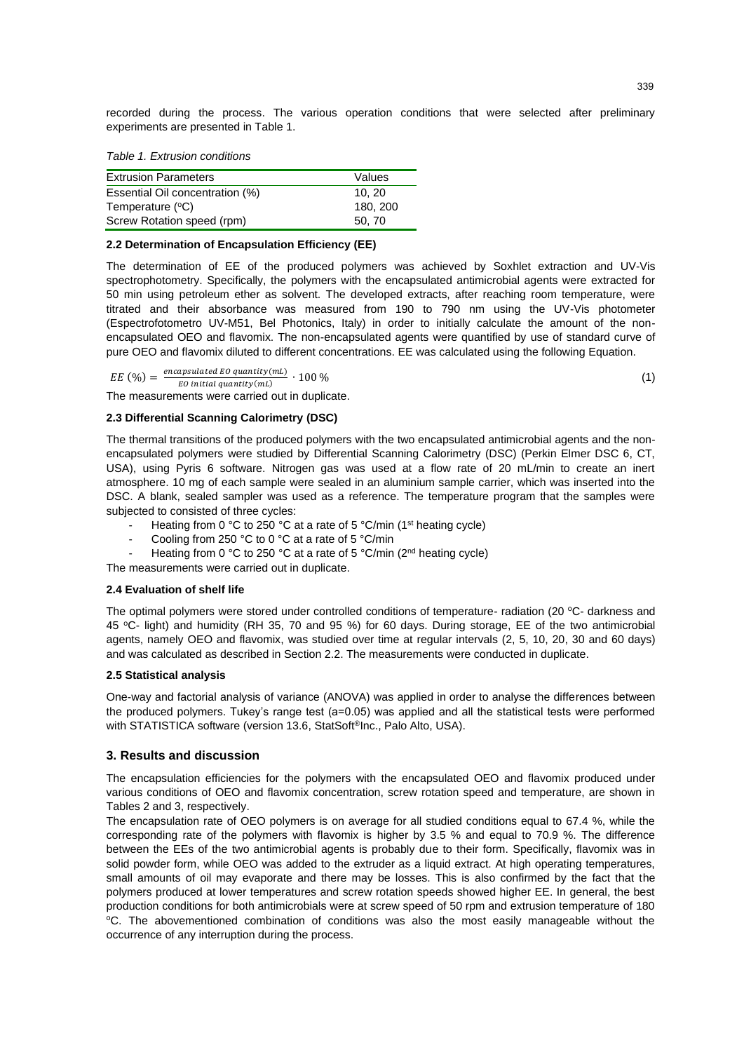recorded during the process. The various operation conditions that were selected after preliminary experiments are presented in Table 1.

*Table 1. Extrusion conditions* 

| <b>Extrusion Parameters</b>     | Values   |
|---------------------------------|----------|
| Essential Oil concentration (%) | 10.20    |
| Temperature (°C)                | 180, 200 |
| Screw Rotation speed (rpm)      | 50.70    |

#### **2.2 Determination of Encapsulation Efficiency (ΕΕ)**

The determination of EE of the produced polymers was achieved by Soxhlet extraction and UV-Vis spectrophotometry. Specifically, the polymers with the encapsulated antimicrobial agents were extracted for 50 min using petroleum ether as solvent. The developed extracts, after reaching room temperature, were titrated and their absorbance was measured from 190 to 790 nm using the UV-Vis photometer (Espectrofotometro UV-M51, Bel Photonics, Italy) in order to initially calculate the amount of the nonencapsulated OEO and flavomix. The non-encapsulated agents were quantified by use of standard curve of pure OEO and flavomix diluted to different concentrations. EE was calculated using the following Equation.

 $EE \text{ } (\%) = \frac{encapsulated \text{ } E0 \text{ } quantity(mL)}{E0 \text{ } initial \text{ } constantity(mL)} \cdot 100 \text{ } \%$  (1)  $E0$  initial quantity (mL)

The measurements were carried out in duplicate.

# **2.3 Differential Scanning Calorimetry (DSC)**

The thermal transitions of the produced polymers with the two encapsulated antimicrobial agents and the nonencapsulated polymers were studied by Differential Scanning Calorimetry (DSC) (Perkin Elmer DSC 6, CT, USA), using Pyris 6 software. Nitrogen gas was used at a flow rate of 20 mL/min to create an inert atmosphere. 10 mg of each sample were sealed in an aluminium sample carrier, which was inserted into the DSC. A blank, sealed sampler was used as a reference. The temperature program that the samples were subjected to consisted of three cycles:

- Heating from 0 °C to 250 °C at a rate of 5 °C/min (1<sup>st</sup> heating cycle)
- Cooling from 250 °C to 0 °C at a rate of 5 °C/min
- Heating from 0 °C to 250 °C at a rate of 5 °C/min (2<sup>nd</sup> heating cycle)
- The measurements were carried out in duplicate.

## **2.4 Evaluation of shelf life**

The optimal polymers were stored under controlled conditions of temperature- radiation (20 °C- darkness and 45 °C- light) and humidity (RH 35, 70 and 95 %) for 60 days. During storage, EE of the two antimicrobial agents, namely OEO and flavomix, was studied over time at regular intervals (2, 5, 10, 20, 30 and 60 days) and was calculated as described in Section 2.2. The measurements were conducted in duplicate.

## **2.5 Statistical analysis**

One-way and factorial analysis of variance (ANOVA) was applied in order to analyse the differences between the produced polymers. Tukey's range test (a=0.05) was applied and all the statistical tests were performed with STATISTICA software (version 13.6, StatSoft®Inc., Palo Alto, USA).

# **3. Results and discussion**

The encapsulation efficiencies for the polymers with the encapsulated OEO and flavomix produced under various conditions of OEO and flavomix concentration, screw rotation speed and temperature, are shown in Tables 2 and 3, respectively.

The encapsulation rate of OEO polymers is on average for all studied conditions equal to 67.4 %, while the corresponding rate of the polymers with flavomix is higher by 3.5 % and equal to 70.9 %. The difference between the EEs of the two antimicrobial agents is probably due to their form. Specifically, flavomix was in solid powder form, while OEO was added to the extruder as a liquid extract. At high operating temperatures, small amounts of oil may evaporate and there may be losses. This is also confirmed by the fact that the polymers produced at lower temperatures and screw rotation speeds showed higher EE. In general, the best production conditions for both antimicrobials were at screw speed of 50 rpm and extrusion temperature of 180 <sup>o</sup>C. The abovementioned combination of conditions was also the most easily manageable without the occurrence of any interruption during the process.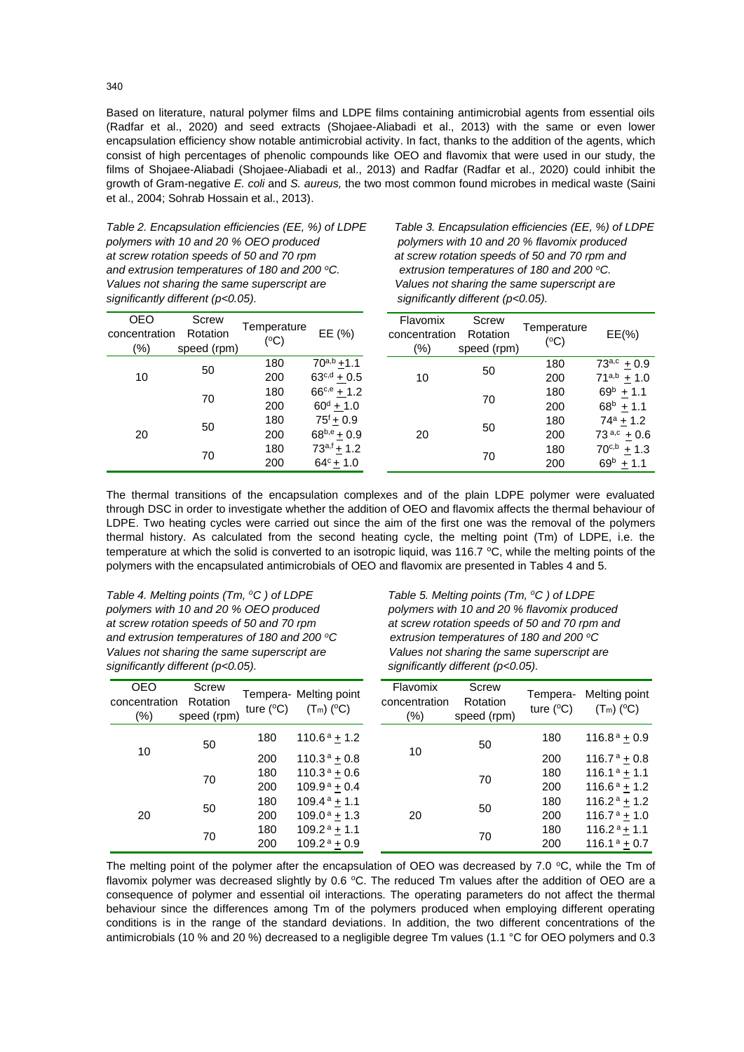Based on literature, natural polymer films and LDPE films containing antimicrobial agents from essential oils (Radfar et al., 2020) and seed extracts (Shojaee-Aliabadi et al., 2013) with the same or even lower encapsulation efficiency show notable antimicrobial activity. In fact, thanks to the addition of the agents, which consist of high percentages of phenolic compounds like OEO and flavomix that were used in our study, the films of Shojaee-Aliabadi (Shojaee-Aliabadi et al., 2013) and Radfar (Radfar et al., 2020) could inhibit the growth of Gram-negative *E. coli* and *S. aureus,* the two most common found microbes in medical waste (Saini et al., 2004; Sohrab Hossain et al., 2013).

*Table 2. Encapsulation efficiencies (EE, %) of LDPE Table 3. Encapsulation efficiencies (EE, %) of LDPE polymers with 10 and 20 % OEO produced polymers with 10 and 20 % flavomix produced at screw rotation speeds of 50 and 70 rpm at screw rotation speeds of 50 and 70 rpm and and extrusion temperatures of 180 and 200 <sup>ο</sup>C. extrusion temperatures of 180 and 200 <sup>ο</sup>C. Values not sharing the same superscript are Values not sharing the same superscript are significantly different (p<0.05). significantly different (p<0.05).*

| <b>OEO</b><br>concentration<br>(%) | Screw<br>Rotation<br>speed (rpm) | Temperature<br>(°C) | EE (%)             | Flavomix<br>concentration<br>$(\%)$ | Screw<br>Rotation<br>speed (rpm) | Temperature<br>(°C) | $EE(\% )$          |
|------------------------------------|----------------------------------|---------------------|--------------------|-------------------------------------|----------------------------------|---------------------|--------------------|
| 10                                 | 50                               | 180                 | $70^{a,b} + 1.1$   |                                     | 50                               | 180                 | $73^{a,c}$ + 0.9   |
|                                    |                                  | 200                 | $63^{c,d} + 0.5$   | 10                                  |                                  | 200                 | $71^{a,b} \pm 1.0$ |
|                                    | 70                               | 180                 | $66^{c,e}$ + 1.2   |                                     | 70                               | 180                 | $69^b \pm 1.1$     |
|                                    |                                  | 200                 | $60^{\rm d} + 1.0$ |                                     |                                  | 200                 | $68^{\circ}$ + 1.1 |
| 20                                 | 50                               | 180                 | $75^{f}$ + 0.9     |                                     | 50                               | 180                 | $74^a$ + 1.2       |
|                                    |                                  | 200                 | $68^{b,e} + 0.9$   | 20                                  |                                  | 200                 | $73^{a,c} + 0.6$   |
|                                    | 70                               | 180                 | $73^{a,f}$ + 1.2   |                                     | 70                               | 180                 | $70^{c,b}$ + 1.3   |
|                                    |                                  | 200                 | $64^{\circ}$ + 1.0 |                                     |                                  | 200                 | $69^{\rm b}$ + 1.1 |
|                                    |                                  |                     |                    |                                     |                                  |                     |                    |

The thermal transitions of the encapsulation complexes and of the plain LDPE polymer were evaluated through DSC in order to investigate whether the addition of OEO and flavomix affects the thermal behaviour of LDPE. Two heating cycles were carried out since the aim of the first one was the removal of the polymers thermal history. As calculated from the second heating cycle, the melting point (Tm) of LDPE, i.e. the temperature at which the solid is converted to an isotropic liquid, was 116.7 °C, while the melting points of the polymers with the encapsulated antimicrobials of OEO and flavomix are presented in Tables 4 and 5.

*Table 4. Melting points (Tm, <sup>o</sup>C ) of LDPE Table 5. Melting points (Tm, <sup>o</sup>C ) of LDPE and extrusion temperatures of 180 and 200 <sup>ο</sup>C extrusion temperatures of 180 and 200 <sup>ο</sup>C Values not sharing the same superscript are Values not sharing the same superscript are significantly different (p<0.05). significantly different (p<0.05).*

*polymers with 10 and 20 % OEO produced polymers with 10 and 20 % flavomix produced at screw rotation speeds of 50 and 70 rpm at screw rotation speeds of 50 and 70 rpm and*

| <b>OEO</b><br>concentration<br>$(\%)$ | Screw<br>Rotation<br>speed (rpm) | ture $(^{\circ}C)$ | Tempera- Melting point<br>$(T_m)$ (°C) | Flavomix<br>concentration<br>$(\%)$ | Screw<br>Rotation<br>speed (rpm) | Tempera-<br>ture $(^{\circ}C)$ | Melting point<br>$(T_m)$ (°C)        |
|---------------------------------------|----------------------------------|--------------------|----------------------------------------|-------------------------------------|----------------------------------|--------------------------------|--------------------------------------|
| 10                                    | 50                               | 180                | $110.6^{\text{a}} + 1.2$               |                                     | 50                               | 180                            | $116.8^{\text{a}} + 0.9$             |
|                                       |                                  | 200                | $110.3^a \pm 0.8$                      | 10                                  |                                  | 200                            | $116.7^{\text{ a}} + 0.8$            |
|                                       | 70                               | 180                | $110.3^{\text{a}} + 0.6$               |                                     | 70                               | 180                            | $116.1^a + 1.1$                      |
| 20                                    |                                  | 200                | $109.9^{\text{a}} + 0.4$               |                                     |                                  | 200                            | $116.6^a + 1.2$                      |
|                                       | 50                               | 180                | 109.4 $a$ + 1.1                        |                                     | 50                               | 180                            | 116.2 <sup>a</sup> $\pm$ 1.2         |
|                                       |                                  | 200                | $109.0^{\text{ a}} + 1.3$              | 20                                  |                                  | 200                            | $116.7^{\text{ a}} + 1.0^{\text{c}}$ |
|                                       | 70                               | 180                | $109.2^{\text{a}} + 1.1$               |                                     | 70                               | 180                            | $116.2^a \pm 1.1$                    |
|                                       |                                  | 200                | $109.2^{\text{a}} + 0.9$               |                                     |                                  | 200                            | $116.1^a + 0.7$                      |

The melting point of the polymer after the encapsulation of OEO was decreased by 7.0  $\degree$ C, while the Tm of flavomix polymer was decreased slightly by 0.6 °C. The reduced Tm values after the addition of OEO are a consequence of polymer and essential oil interactions. The operating parameters do not affect the thermal behaviour since the differences among Tm of the polymers produced when employing different operating conditions is in the range of the standard deviations. In addition, the two different concentrations of the antimicrobials (10 % and 20 %) decreased to a negligible degree Tm values (1.1 °C for OEO polymers and 0.3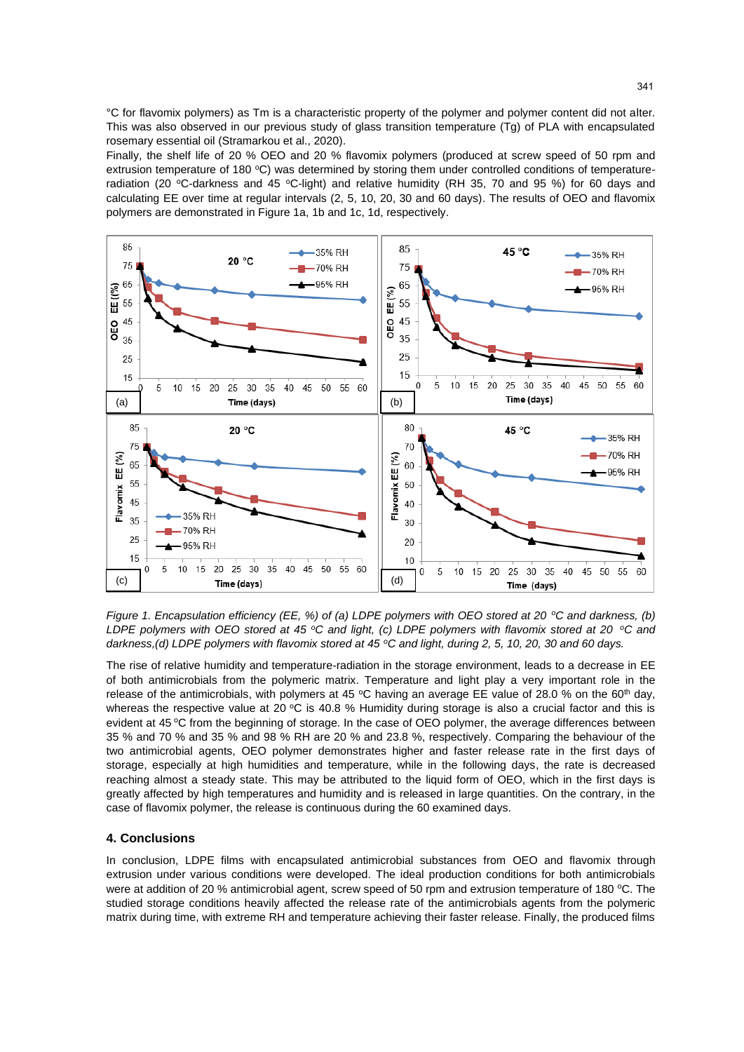°C for flavomix polymers) as Tm is a characteristic property of the polymer and polymer content did not alter. This was also observed in our previous study of glass transition temperature (Tg) of PLA with encapsulated rosemary essential oil (Stramarkou et al., 2020).

Finally, the shelf life of 20 % OEO and 20 % flavomix polymers (produced at screw speed of 50 rpm and extrusion temperature of 180 °C) was determined by storing them under controlled conditions of temperatureradiation (20 °C-darkness and 45 °C-light) and relative humidity (RH 35, 70 and 95 %) for 60 days and calculating EE over time at regular intervals (2, 5, 10, 20, 30 and 60 days). The results of OEO and flavomix polymers are demonstrated in Figure 1a, 1b and 1c, 1d, respectively.



*Figure 1. Encapsulation efficiency (EE, %) of (a) LDPE polymers with OEO stored at 20 <sup>ο</sup>C and darkness, (b) LDPE polymers with OEO stored at 45 <sup>ο</sup>C and light, (c) LDPE polymers with flavomix stored at 20 <sup>ο</sup>C and darkness,(d) LDPE polymers with flavomix stored at 45 <sup>ο</sup>C and light, during 2, 5, 10, 20, 30 and 60 days.*

The rise of relative humidity and temperature-radiation in the storage environment, leads to a decrease in EE of both antimicrobials from the polymeric matrix. Temperature and light play a very important role in the release of the antimicrobials, with polymers at 45 °C having an average EE value of 28.0 % on the 60<sup>th</sup> day, whereas the respective value at 20 °C is 40.8 % Humidity during storage is also a crucial factor and this is evident at 45 °C from the beginning of storage. In the case of OEO polymer, the average differences between 35 % and 70 % and 35 % and 98 % RH are 20 % and 23.8 %, respectively. Comparing the behaviour of the two antimicrobial agents, OEO polymer demonstrates higher and faster release rate in the first days of storage, especially at high humidities and temperature, while in the following days, the rate is decreased reaching almost a steady state. This may be attributed to the liquid form of OEO, which in the first days is greatly affected by high temperatures and humidity and is released in large quantities. On the contrary, in the case of flavomix polymer, the release is continuous during the 60 examined days.

## **4. Conclusions**

In conclusion, LDPE films with encapsulated antimicrobial substances from OEO and flavomix through extrusion under various conditions were developed. The ideal production conditions for both antimicrobials were at addition of 20 % antimicrobial agent, screw speed of 50 rpm and extrusion temperature of 180 °C. The studied storage conditions heavily affected the release rate of the antimicrobials agents from the polymeric matrix during time, with extreme RH and temperature achieving their faster release. Finally, the produced films